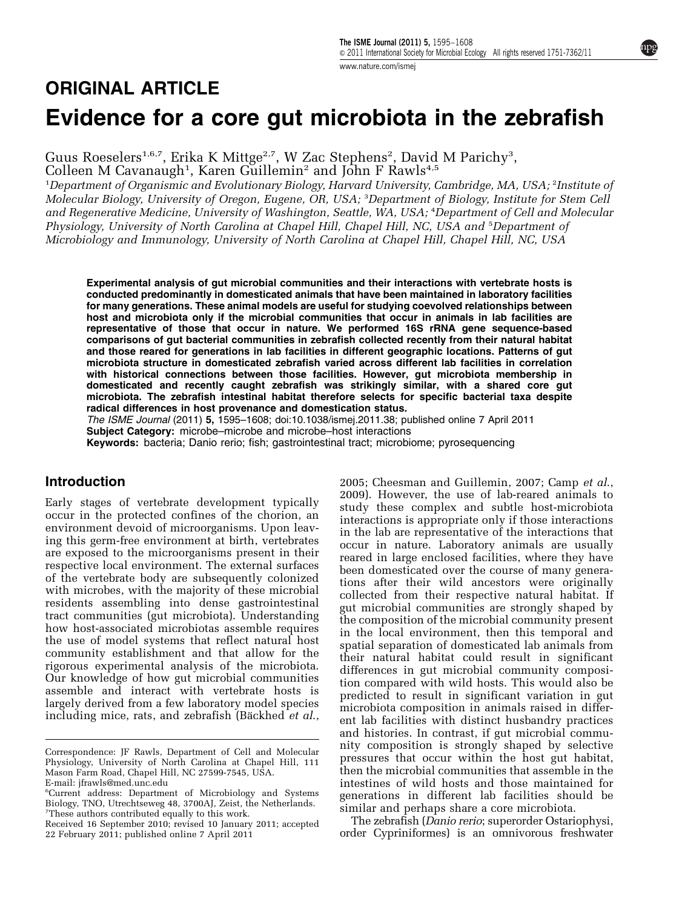[www.nature.com/ismej](http://www.nature.com/ismej)

# ORIGINAL ARTICLE Evidence for a core gut microbiota in the zebrafish

Guus Roeselers $^{1,6,7}$ , Erika K Mittge $^{2,7}$ , W Zac Stephens $^2$ , David M Parichy $^3,$ 

Colleen M Cavanaugh<sup>1</sup>, Karen Guillemin<sup>2</sup> and John F Rawls<sup>4,5</sup>

<sup>1</sup>Department of Organismic and Evolutionary Biology, Harvard University, Cambridge, MA, USA; <sup>2</sup>Institute of Molecular Biology, University of Oregon, Eugene, OR, USA; <sup>3</sup> Department of Biology, Institute for Stem Cell and Regenerative Medicine, University of Washington, Seattle, WA, USA; <sup>4</sup> Department of Cell and Molecular Physiology, University of North Carolina at Chapel Hill, Chapel Hill, NC, USA and <sup>5</sup>Department of Microbiology and Immunology, University of North Carolina at Chapel Hill, Chapel Hill, NC, USA

Experimental analysis of gut microbial communities and their interactions with vertebrate hosts is conducted predominantly in domesticated animals that have been maintained in laboratory facilities for many generations. These animal models are useful for studying coevolved relationships between host and microbiota only if the microbial communities that occur in animals in lab facilities are representative of those that occur in nature. We performed 16S rRNA gene sequence-based comparisons of gut bacterial communities in zebrafish collected recently from their natural habitat and those reared for generations in lab facilities in different geographic locations. Patterns of gut microbiota structure in domesticated zebrafish varied across different lab facilities in correlation with historical connections between those facilities. However, gut microbiota membership in domesticated and recently caught zebrafish was strikingly similar, with a shared core gut microbiota. The zebrafish intestinal habitat therefore selects for specific bacterial taxa despite radical differences in host provenance and domestication status.

The ISME Journal (2011) 5, 1595–1608; doi:[10.1038/ismej.2011.38;](http://dx.doi.org/10.1038/ismej.2011.38) published online 7 April 2011 Subject Category: microbe–microbe and microbe–host interactions

Keywords: bacteria; Danio rerio; fish; gastrointestinal tract; microbiome; pyrosequencing

## Introduction

Early stages of vertebrate development typically occur in the protected confines of the chorion, an environment devoid of microorganisms. Upon leaving this germ-free environment at birth, vertebrates are exposed to the microorganisms present in their respective local environment. The external surfaces of the vertebrate body are subsequently colonized with microbes, with the majority of these microbial residents assembling into dense gastrointestinal tract communities (gut microbiota). Understanding how host-associated microbiotas assemble requires the use of model systems that reflect natural host community establishment and that allow for the rigorous experimental analysis of the microbiota. Our knowledge of how gut microbial communities assemble and interact with vertebrate hosts is largely derived from a few laboratory model species including mice, rats, and zebrafish (Bäckhed et al.,

[2005; Cheesman and Guillemin, 2007; Camp](#page-12-0) et al., [2009\)](#page-12-0). However, the use of lab-reared animals to study these complex and subtle host-microbiota interactions is appropriate only if those interactions in the lab are representative of the interactions that occur in nature. Laboratory animals are usually reared in large enclosed facilities, where they have been domesticated over the course of many generations after their wild ancestors were originally collected from their respective natural habitat. If gut microbial communities are strongly shaped by the composition of the microbial community present in the local environment, then this temporal and spatial separation of domesticated lab animals from their natural habitat could result in significant differences in gut microbial community composition compared with wild hosts. This would also be predicted to result in significant variation in gut microbiota composition in animals raised in different lab facilities with distinct husbandry practices and histories. In contrast, if gut microbial community composition is strongly shaped by selective pressures that occur within the host gut habitat, then the microbial communities that assemble in the intestines of wild hosts and those maintained for generations in different lab facilities should be similar and perhaps share a core microbiota.

The zebrafish (Danio rerio; superorder Ostariophysi, Received 16 September 2010; revised 10 January 2011; accepted The zebrafish (*Danio rerio*; superorder Ostariophysi,<br>22 February 2011; published online 7 April 2011 order Cypriniformes) is an omnivorous freshwater

Correspondence: JF Rawls, Department of Cell and Molecular Physiology, University of North Carolina at Chapel Hill, 111 Mason Farm Road, Chapel Hill, NC 27599-7545, USA. E-mail: [jfrawls@med.unc.edu](mailto:jfrawls@med.unc.edu)

<sup>6</sup> Current address: Department of Microbiology and Systems Biology, TNO, Utrechtseweg 48, 3700AJ, Zeist, the Netherlands. 7 These authors contributed equally to this work.

<sup>22</sup> February 2011; published online 7 April 2011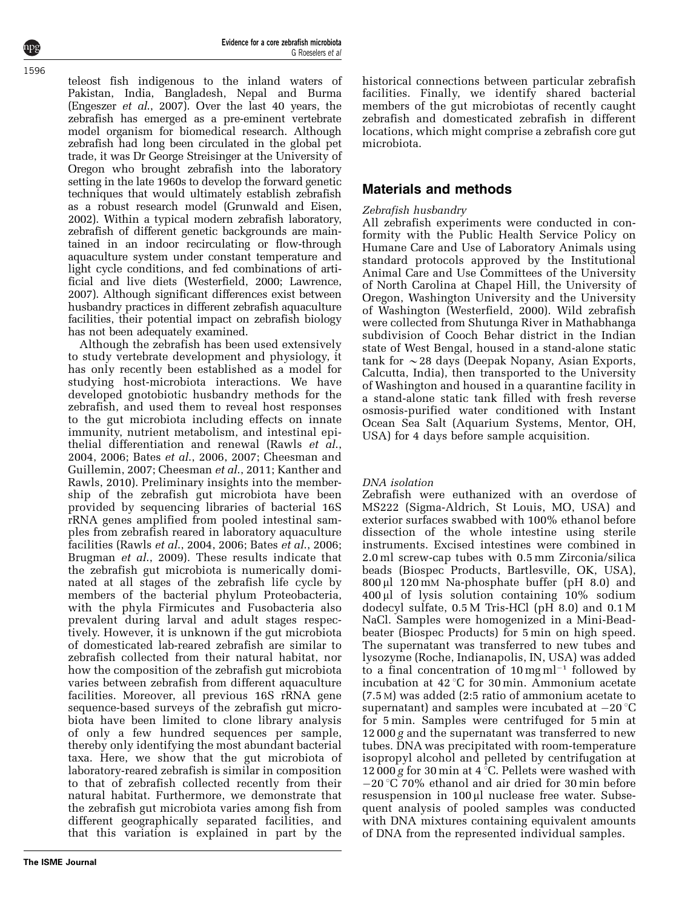teleost fish indigenous to the inland waters of Pakistan, India, Bangladesh, Nepal and Burma ([Engeszer](#page-12-0) et al., 2007). Over the last 40 years, the zebrafish has emerged as a pre-eminent vertebrate model organism for biomedical research. Although zebrafish had long been circulated in the global pet trade, it was Dr George Streisinger at the University of Oregon who brought zebrafish into the laboratory setting in the late 1960s to develop the forward genetic techniques that would ultimately establish zebrafish as a robust research model ([Grunwald and Eisen,](#page-12-0) [2002\)](#page-12-0). Within a typical modern zebrafish laboratory, zebrafish of different genetic backgrounds are maintained in an indoor recirculating or flow-through aquaculture system under constant temperature and light cycle conditions, and fed combinations of artificial and live diets [\(Westerfield, 2000](#page-13-0); [Lawrence,](#page-12-0) [2007\)](#page-12-0). Although significant differences exist between husbandry practices in different zebrafish aquaculture facilities, their potential impact on zebrafish biology has not been adequately examined.

Although the zebrafish has been used extensively to study vertebrate development and physiology, it has only recently been established as a model for studying host-microbiota interactions. We have developed gnotobiotic husbandry methods for the zebrafish, and used them to reveal host responses to the gut microbiota including effects on innate immunity, nutrient metabolism, and intestinal epithelial differentiation and renewal [\(Rawls](#page-13-0) et al., [2004, 2006;](#page-13-0) Bates et al[., 2006, 2007](#page-12-0); [Cheesman and](#page-12-0) [Guillemin, 2007](#page-12-0); [Cheesman](#page-12-0) et al., 2011; [Kanther and](#page-12-0) [Rawls, 2010\)](#page-12-0). Preliminary insights into the membership of the zebrafish gut microbiota have been provided by sequencing libraries of bacterial 16S rRNA genes amplified from pooled intestinal samples from zebrafish reared in laboratory aquaculture facilities (Rawls et al[., 2004, 2006;](#page-13-0) Bates et al[., 2006;](#page-12-0) [Brugman](#page-12-0) et al., 2009). These results indicate that the zebrafish gut microbiota is numerically dominated at all stages of the zebrafish life cycle by members of the bacterial phylum Proteobacteria, with the phyla Firmicutes and Fusobacteria also prevalent during larval and adult stages respectively. However, it is unknown if the gut microbiota of domesticated lab-reared zebrafish are similar to zebrafish collected from their natural habitat, nor how the composition of the zebrafish gut microbiota varies between zebrafish from different aquaculture facilities. Moreover, all previous 16S rRNA gene sequence-based surveys of the zebrafish gut microbiota have been limited to clone library analysis of only a few hundred sequences per sample, thereby only identifying the most abundant bacterial taxa. Here, we show that the gut microbiota of laboratory-reared zebrafish is similar in composition to that of zebrafish collected recently from their natural habitat. Furthermore, we demonstrate that the zebrafish gut microbiota varies among fish from different geographically separated facilities, and that this variation is explained in part by the

historical connections between particular zebrafish facilities. Finally, we identify shared bacterial members of the gut microbiotas of recently caught zebrafish and domesticated zebrafish in different locations, which might comprise a zebrafish core gut microbiota.

# Materials and methods

### Zebrafish husbandry

All zebrafish experiments were conducted in conformity with the Public Health Service Policy on Humane Care and Use of Laboratory Animals using standard protocols approved by the Institutional Animal Care and Use Committees of the University of North Carolina at Chapel Hill, the University of Oregon, Washington University and the University of Washington [\(Westerfield, 2000](#page-13-0)). Wild zebrafish were collected from Shutunga River in Mathabhanga subdivision of Cooch Behar district in the Indian state of West Bengal, housed in a stand-alone static tank for  $\sim$  28 days (Deepak Nopany, Asian Exports, Calcutta, India), then transported to the University of Washington and housed in a quarantine facility in a stand-alone static tank filled with fresh reverse osmosis-purified water conditioned with Instant Ocean Sea Salt (Aquarium Systems, Mentor, OH, USA) for 4 days before sample acquisition.

### DNA isolation

Zebrafish were euthanized with an overdose of MS222 (Sigma-Aldrich, St Louis, MO, USA) and exterior surfaces swabbed with 100% ethanol before dissection of the whole intestine using sterile instruments. Excised intestines were combined in 2.0 ml screw-cap tubes with 0.5 mm Zirconia/silica beads (Biospec Products, Bartlesville, OK, USA),  $800 \,\mu$ l 120 mM Na-phosphate buffer (pH 8.0) and  $400 \mu l$  of lysis solution containing  $10\%$  sodium dodecyl sulfate, 0.5 M Tris-HCl (pH 8.0) and 0.1 M NaCl. Samples were homogenized in a Mini-Beadbeater (Biospec Products) for 5 min on high speed. The supernatant was transferred to new tubes and lysozyme (Roche, Indianapolis, IN, USA) was added to a final concentration of  $10 \,\mathrm{mg}\,\mathrm{ml}^{-1}$  followed by incubation at  $42^{\circ}$ C for 30 min. Ammonium acetate (7.5 M) was added (2:5 ratio of ammonium acetate to supernatant) and samples were incubated at  $-20$  °C for 5 min. Samples were centrifuged for 5 min at 12 000 g and the supernatant was transferred to new tubes. DNA was precipitated with room-temperature isopropyl alcohol and pelleted by centrifugation at 12 000 g for 30 min at 4 °C. Pellets were washed with  $-20$  °C 70% ethanol and air dried for 30 min before resuspension in  $100 \mu l$  nuclease free water. Subsequent analysis of pooled samples was conducted with DNA mixtures containing equivalent amounts of DNA from the represented individual samples.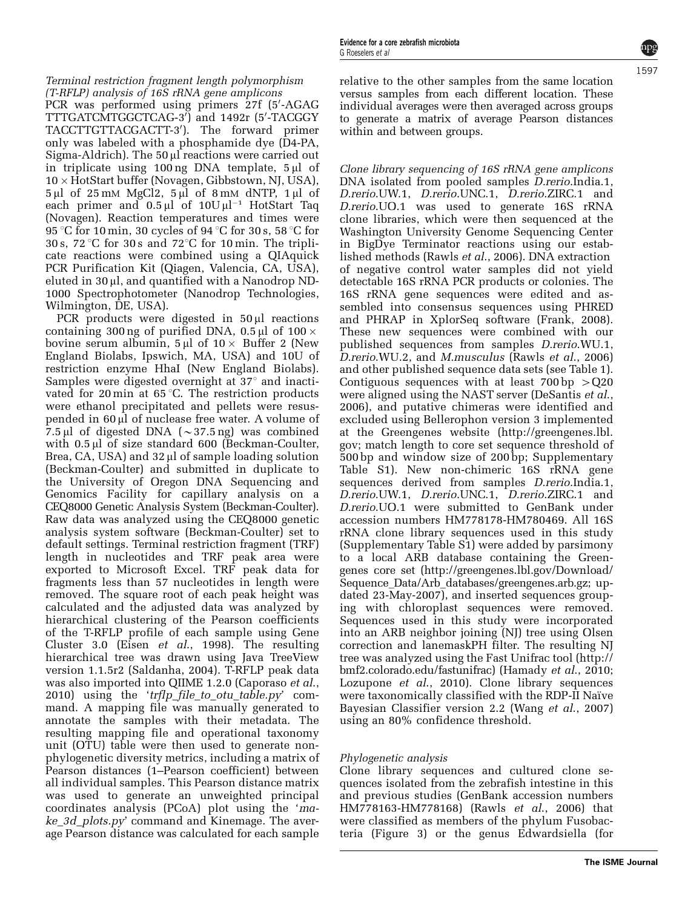#### Terminal restriction fragment length polymorphism (T-RFLP) analysis of 16S rRNA gene amplicons

PCR was performed using primers 27f (5'-AGAG TTTGATCMTGGCTCAG-3<sup>/</sup>) and 1492r (5<sup>/</sup>-TACGGY TACCTTGTTACGACTT-3'). The forward primer only was labeled with a phosphamide dye (D4-PA, Sigma-Aldrich). The  $50 \mu l$  reactions were carried out in triplicate using 100 ng DNA template,  $5 \mu l$  of  $10 \times$  HotStart buffer (Novagen, Gibbstown, NJ, USA),  $5 \mu l$  of  $25 \text{ mM } MgCl2$ ,  $5 \mu l$  of  $8 \text{ mM } dNTP$ ,  $1 \mu l$  of each primer and  $0.5 \mu l$  of  $10U \mu l^{-1}$  HotStart Taq (Novagen). Reaction temperatures and times were 95 °C for 10 min, 30 cycles of 94 °C for 30 s, 58 °C for 30 s, 72 °C for 30 s and 72 °C for 10 min. The triplicate reactions were combined using a QIAquick PCR Purification Kit (Qiagen, Valencia, CA, USA), eluted in  $30 \mu l$ , and quantified with a Nanodrop ND-1000 Spectrophotometer (Nanodrop Technologies, Wilmington, DE, USA).

PCR products were digested in  $50 \mu l$  reactions containing 300 ng of purified DNA,  $0.5 \mu$  of  $100 \times$ bovine serum albumin,  $5 \mu l$  of  $10 \times$  Buffer 2 (New England Biolabs, Ipswich, MA, USA) and 10U of restriction enzyme HhaI (New England Biolabs). Samples were digested overnight at  $37^{\circ}$  and inactivated for 20 min at 65  $\degree$ C. The restriction products were ethanol precipitated and pellets were resuspended in  $60 \mu l$  of nuclease free water. A volume of 7.5 µl of digested DNA  $\sim$  37.5 ng) was combined with  $0.5 \mu$  of size standard 600 (Beckman-Coulter, Brea, CA, USA) and 32 µl of sample loading solution (Beckman-Coulter) and submitted in duplicate to the University of Oregon DNA Sequencing and Genomics Facility for capillary analysis on a CEQ8000 Genetic Analysis System (Beckman-Coulter). Raw data was analyzed using the CEQ8000 genetic analysis system software (Beckman-Coulter) set to default settings. Terminal restriction fragment (TRF) length in nucleotides and TRF peak area were exported to Microsoft Excel. TRF peak data for fragments less than 57 nucleotides in length were removed. The square root of each peak height was calculated and the adjusted data was analyzed by hierarchical clustering of the Pearson coefficients of the T-RFLP profile of each sample using Gene Cluster 3.0 (Eisen et al[., 1998\)](#page-12-0). The resulting hierarchical tree was drawn using Java TreeView version 1.1.5r2 [\(Saldanha, 2004\)](#page-13-0). T-RFLP peak data was also imported into QIIME 1.2.0 ([Caporaso](#page-12-0) *et al.*, [2010\)](#page-12-0) using the 'trflp\_file\_to\_otu\_table.py' command. A mapping file was manually generated to annotate the samples with their metadata. The resulting mapping file and operational taxonomy unit (OTU) table were then used to generate nonphylogenetic diversity metrics, including a matrix of Pearson distances (1–Pearson coefficient) between all individual samples. This Pearson distance matrix was used to generate an unweighted principal coordinates analysis (PCoA) plot using the 'make\_3d\_plots.py' command and Kinemage. The average Pearson distance was calculated for each sample

relative to the other samples from the same location versus samples from each different location. These individual averages were then averaged across groups to generate a matrix of average Pearson distances within and between groups.

Clone library sequencing of 16S rRNA gene amplicons DNA isolated from pooled samples *D.rerio*.India.1, D.rerio.UW.1, D.rerio.UNC.1, D.rerio.ZIRC.1 and D.rerio.UO.1 was used to generate 16S rRNA clone libraries, which were then sequenced at the Washington University Genome Sequencing Center in BigDye Terminator reactions using our established methods (Rawls et al[., 2006](#page-13-0)). DNA extraction of negative control water samples did not yield detectable 16S rRNA PCR products or colonies. The 16S rRNA gene sequences were edited and assembled into consensus sequences using PHRED and PHRAP in XplorSeq software [\(Frank, 2008\)](#page-12-0). These new sequences were combined with our published sequences from samples D.rerio.WU.1, D.rerio.WU.2, and M.musculus (Rawls et al[., 2006\)](#page-13-0) and other published sequence data sets (see [Table 1\)](#page-3-0). Contiguous sequences with at least  $700 \,\mathrm{bp} > Q20$ were aligned using the NAST server [\(DeSantis](#page-12-0) *et al.*, [2006\)](#page-12-0), and putative chimeras were identified and excluded using Bellerophon version 3 implemented at the Greengenes website [\(http://greengenes.lbl.](http://greengenes.lbl.gov) [gov;](http://greengenes.lbl.gov) match length to core set sequence threshold of 500 bp and window size of 200 bp; Supplementary Table S1). New non-chimeric 16S rRNA gene sequences derived from samples D.rerio.India.1, D.rerio.UW.1, D.rerio.UNC.1, D.rerio.ZIRC.1 and D.rerio.UO.1 were submitted to GenBank under accession numbers HM778178-HM780469. All 16S rRNA clone library sequences used in this study (Supplementary Table S1) were added by parsimony to a local ARB database containing the Greengenes core set ([http://greengenes.lbl.gov/Download/](http://greengenes.lbl.gov/Download/Sequence_Data/Arb_databases/greengenes.arb.gz) [Sequence\\_Data/Arb\\_databases/greengenes.arb.gz;](http://greengenes.lbl.gov/Download/Sequence_Data/Arb_databases/greengenes.arb.gz) updated 23-May-2007), and inserted sequences grouping with chloroplast sequences were removed. Sequences used in this study were incorporated into an ARB neighbor joining (NJ) tree using Olsen correction and lanemaskPH filter. The resulting NJ tree was analyzed using the Fast Unifrac tool [\(http://](http://bmf2.colorado.edu/fastunifrac) [bmf2.colorado.edu/fastunifrac\)](http://bmf2.colorado.edu/fastunifrac) ([Hamady](#page-12-0) et al., 2010; [Lozupone](#page-12-0) *et al.*, 2010). Clone library sequences were taxonomically classified with the RDP-II Naïve Bayesian Classifier version 2.2 (Wang et al[., 2007\)](#page-13-0) using an 80% confidence threshold.

# Phylogenetic analysis

Clone library sequences and cultured clone sequences isolated from the zebrafish intestine in this and previous studies (GenBank accession numbers HM778163-HM778168) (Rawls et al[., 2006\)](#page-13-0) that were classified as members of the phylum Fusobacteria ([Figure 3\)](#page-7-0) or the genus Edwardsiella (for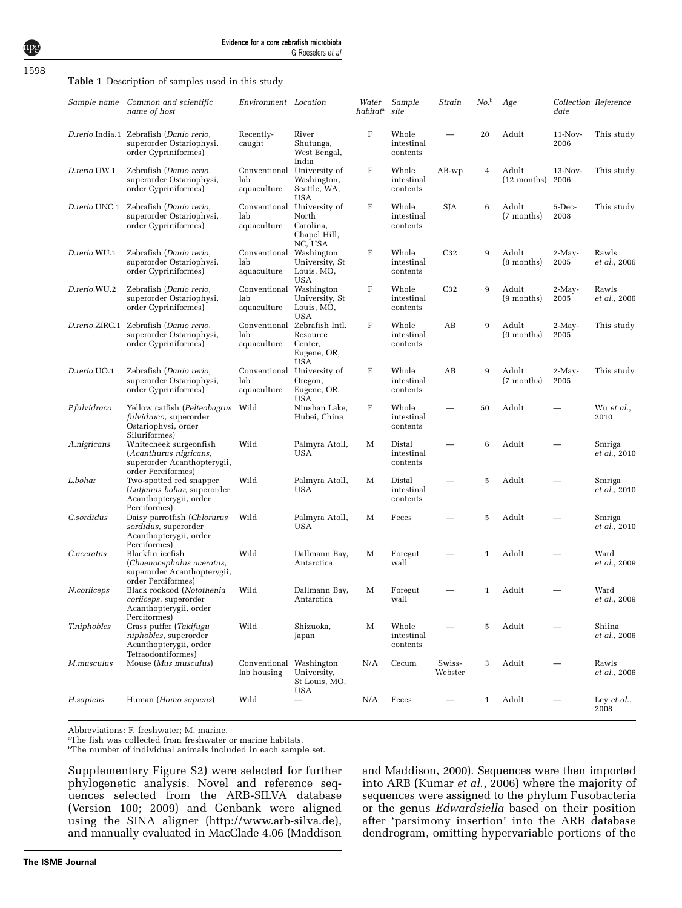Table 1 Description of samples used in this study

|                   | Sample name Common and scientific<br>name of host                                                      | Environment Location                          |                                                                                  | Water<br>habitatª | Sample<br>site                   | Strain            | $No.^{\rm b}$ | Age                    | date              | Collection Reference          |
|-------------------|--------------------------------------------------------------------------------------------------------|-----------------------------------------------|----------------------------------------------------------------------------------|-------------------|----------------------------------|-------------------|---------------|------------------------|-------------------|-------------------------------|
|                   | D.rerio.India.1 Zebrafish (Danio rerio,<br>superorder Ostariophysi,<br>order Cypriniformes)            | Recently-<br>caught                           | River<br>Shutunga,<br>West Bengal,<br>India                                      | F                 | Whole<br>intestinal<br>contents  |                   | 20            | Adult                  | $11-Nov-$<br>2006 | This study                    |
| D.rerio.UW.1      | Zebrafish (Danio rerio,<br>superorder Ostariophysi,<br>order Cypriniformes)                            | lab<br>aquaculture                            | Conventional University of<br>Washington,<br>Seattle, WA,<br><b>USA</b>          | F                 | Whole<br>intestinal<br>contents  | $AB-wp$           | 4             | Adult<br>$(12$ months) | $13-Nov-$<br>2006 | This study                    |
| D.rerio.UNC.1     | Zebrafish (Danio rerio,<br>superorder Ostariophysi,<br>order Cypriniformes)                            | Conventional<br>lab<br>aquaculture            | University of<br>North<br>Carolina,<br>Chapel Hill,<br>NC, USA                   | F                 | Whole<br>intestinal<br>contents  | SJA               | 6             | Adult<br>(7 months)    | 5-Dec-<br>2008    | This study                    |
| D.rerio.WU.1      | Zebrafish (Danio rerio,<br>superorder Ostariophysi,<br>order Cypriniformes)                            | Conventional Washington<br>lab<br>aquaculture | University, St<br>Louis, MO,<br><b>USA</b>                                       | F                 | Whole<br>intestinal<br>contents  | C32               | 9             | Adult<br>(8 months)    | $2-May-$<br>2005  | Rawls<br><i>et al.</i> , 2006 |
| D.rerio.WU.2      | Zebrafish (Danio rerio,<br>superorder Ostariophysi,<br>order Cypriniformes)                            | Conventional Washington<br>lab<br>aquaculture | University, St<br>Louis, MO,<br><b>USA</b>                                       | F                 | Whole<br>intestinal<br>contents  | C32               | 9             | Adult<br>(9 months)    | 2-May-<br>2005    | Rawls<br>et al., 2006         |
|                   | D.rerio.ZIRC.1 Zebrafish (Danio rerio,<br>superorder Ostariophysi,<br>order Cypriniformes)             | lab<br>aquaculture                            | Conventional Zebrafish Intl.<br>Resource<br>Center,<br>Eugene, OR,<br><b>USA</b> | F                 | Whole<br>intestinal<br>contents  | AB                | 9             | Adult<br>(9 months)    | 2-May-<br>2005    | This study                    |
| D.rerio.UO.1      | Zebrafish (Danio rerio,<br>superorder Ostariophysi,<br>order Cypriniformes)                            | lab<br>aquaculture                            | Conventional University of<br>Oregon,<br>Eugene, OR,<br><b>USA</b>               | F                 | Whole<br>intestinal<br>contents  | ΑB                | 9             | Adult<br>(7 months)    | 2-May-<br>2005    | This study                    |
| P.fulvidraco      | Yellow catfish (Pelteobagrus<br><i>fulvidraco</i> , superorder<br>Ostariophysi, order<br>Siluriformes) | Wild                                          | Niushan Lake,<br>Hubei, China                                                    | F                 | Whole<br>intestinal<br>contents  |                   | 50            | Adult                  |                   | Wu et al.,<br>2010            |
| A.nigricans       | Whitecheek surgeonfish<br>(Acanthurus nigricans,<br>superorder Acanthopterygii,<br>order Perciformes)  | Wild                                          | Palmyra Atoll,<br><b>USA</b>                                                     | М                 | Distal<br>intestinal<br>contents |                   | 6             | Adult                  |                   | Smriga<br>et al., 2010        |
| L.bohar           | Two-spotted red snapper<br>(Lutjanus bohar, superorder<br>Acanthopterygii, order<br>Perciformes)       | Wild                                          | Palmyra Atoll,<br><b>USA</b>                                                     | М                 | Distal<br>intestinal<br>contents |                   | 5             | Adult                  |                   | Smriga<br><i>et al., 2010</i> |
| C.sordidus        | Daisy parrotfish (Chlorurus<br>sordidus, superorder<br>Acanthopterygii, order<br>Perciformes)          | Wild                                          | Palmyra Atoll,<br><b>USA</b>                                                     | M                 | Feces                            |                   | 5             | Adult                  |                   | Smriga<br>et al., 2010        |
| C.aceratus        | Blackfin icefish<br>(Chaenocephalus aceratus,<br>superorder Acanthopterygii,<br>order Perciformes)     | Wild                                          | Dallmann Bay,<br>Antarctica                                                      | М                 | Foregut<br>wall                  |                   | $\mathbf{1}$  | Adult                  |                   | Ward<br><i>et al., 2009</i>   |
| N.coriiceps       | Black rockcod (Notothenia<br><i>coriiceps</i> , superorder<br>Acanthopterygii, order<br>Perciformes)   | Wild                                          | Dallmann Bay,<br>Antarctica                                                      | М                 | Foregut<br>wall                  |                   | 1             | Adult                  |                   | Ward<br>et al., 2009          |
| T.niphobles       | Grass puffer (Takifugu<br>niphobles, superorder<br>Acanthoptervgii, order<br>Tetraodontiformes)        | Wild                                          | Shizuoka,<br>Japan                                                               | M                 | Whole<br>intestinal<br>contents  |                   | 5             | Adult                  |                   | Shiina<br><i>et al., 2006</i> |
| <i>M.musculus</i> | Mouse (Mus musculus)                                                                                   | Conventional Washington<br>lab housing        | University,<br>St Louis, MO,                                                     | N/A               | Cecum                            | Swiss-<br>Webster | 3             | Adult                  |                   | Rawls<br>et al., 2006         |
| H.sapiens         | Human (Homo sapiens)                                                                                   | Wild                                          | USA                                                                              | N/A               | Feces                            |                   | 1             | Adult                  |                   | Ley et al.,<br>2008           |

Abbreviations: F, freshwater; M, marine.

a The fish was collected from freshwater or marine habitats. b The number of individual animals included in each sample set.

Supplementary Figure S2) were selected for further phylogenetic analysis. Novel and reference sequences selected from the ARB-SILVA database (Version 100; 2009) and Genbank were aligned using the SINA aligner (<http://www.arb-silva.de>), and manually evaluated in MacClade 4.06 ([Maddison](#page-12-0) [and Maddison, 2000](#page-12-0)). Sequences were then imported into ARB [\(Kumar](#page-12-0) et al., 2006) where the majority of sequences were assigned to the phylum Fusobacteria or the genus Edwardsiella based on their position after 'parsimony insertion' into the ARB database dendrogram, omitting hypervariable portions of the

<span id="page-3-0"></span>1598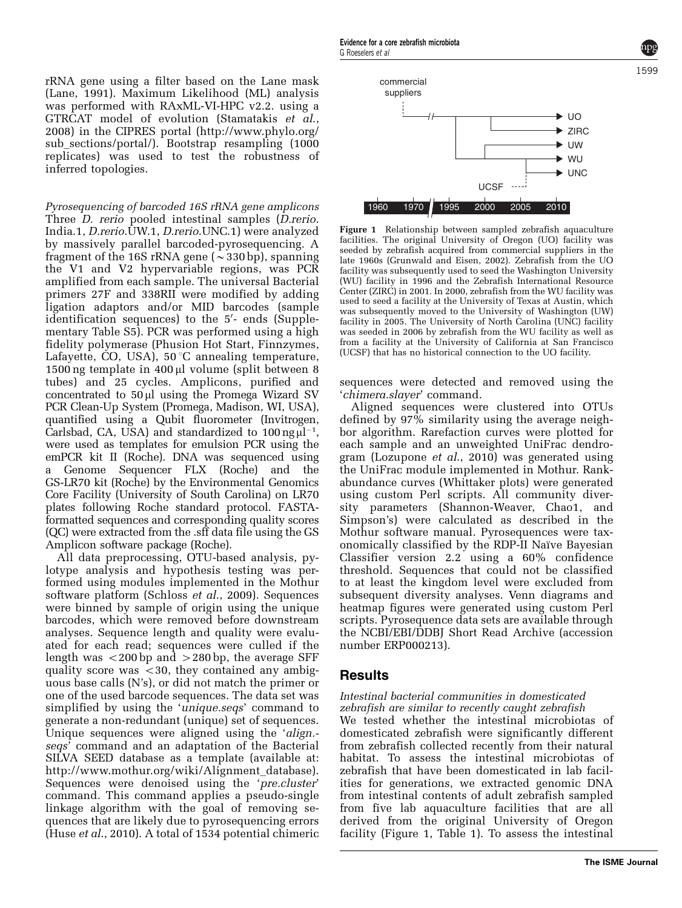<span id="page-4-0"></span>rRNA gene using a filter based on the Lane mask [\(Lane, 1991](#page-12-0)). Maximum Likelihood (ML) analysis was performed with RAxML-VI-HPC v2.2. using a GTRCAT model of evolution ([Stamatakis](#page-13-0) et al., [2008\)](#page-13-0) in the CIPRES portal ([http://www.phylo.org/](http://www.phylo.org/sub_sections/portal/) [sub\\_sections/portal/\)](http://www.phylo.org/sub_sections/portal/). Bootstrap resampling (1000 replicates) was used to test the robustness of inferred topologies.

Pyrosequencing of barcoded 16S rRNA gene amplicons Three D. rerio pooled intestinal samples (D.rerio. India.1, D.rerio.UW.1, D.rerio.UNC.1) were analyzed by massively parallel barcoded-pyrosequencing. A fragment of the 16S rRNA gene ( $\sim$ 330 bp), spanning the V1 and V2 hypervariable regions, was PCR amplified from each sample. The universal Bacterial primers 27F and 338RII were modified by adding ligation adaptors and/or MID barcodes (sample identification sequences) to the 5'- ends (Supplementary Table S5). PCR was performed using a high fidelity polymerase (Phusion Hot Start, Finnzymes, Lafayette, CO, USA),  $50^{\circ}$ C annealing temperature, 1500 ng template in  $400 \mu l$  volume (split between 8 tubes) and 25 cycles. Amplicons, purified and concentrated to  $50 \mu l$  using the Promega Wizard SV PCR Clean-Up System (Promega, Madison, WI, USA), quantified using a Qubit fluorometer (Invitrogen, Carlsbad, CA, USA) and standardized to  $100 \text{ ng }\mu l^{-1}$ , were used as templates for emulsion PCR using the emPCR kit II (Roche). DNA was sequenced using Genome Sequencer FLX (Roche) and the GS-LR70 kit (Roche) by the Environmental Genomics Core Facility (University of South Carolina) on LR70 plates following Roche standard protocol. FASTAformatted sequences and corresponding quality scores (QC) were extracted from the .sff data file using the GS Amplicon software package (Roche).

All data preprocessing, OTU-based analysis, pylotype analysis and hypothesis testing was performed using modules implemented in the Mothur software platform ([Schloss](#page-13-0) et al., 2009). Sequences were binned by sample of origin using the unique barcodes, which were removed before downstream analyses. Sequence length and quality were evaluated for each read; sequences were culled if the length was  $\langle 200 \text{ bp} \rangle$  and  $\langle 280 \text{ bp} \rangle$ , the average SFF quality score was  $\langle 30, \text{ they contained any ambig-} \rangle$ uous base calls (N's), or did not match the primer or one of the used barcode sequences. The data set was simplified by using the 'unique.seqs' command to generate a non-redundant (unique) set of sequences. Unique sequences were aligned using the 'align. seqs' command and an adaptation of the Bacterial SILVA SEED database as a template (available at: [http://www.mothur.org/wiki/Alignment\\_database\)](http://www.mothur.org/wiki/Alignment_database). Sequences were denoised using the 'pre.cluster' command. This command applies a pseudo-single linkage algorithm with the goal of removing sequences that are likely due to pyrosequencing errors (Huse et al[., 2010\)](#page-12-0). A total of 1534 potential chimeric



Figure 1 Relationship between sampled zebrafish aquaculture facilities. The original University of Oregon (UO) facility was seeded by zebrafish acquired from commercial suppliers in the late 1960s ([Grunwald and Eisen, 2002](#page-12-0)). Zebrafish from the UO facility was subsequently used to seed the Washington University (WU) facility in 1996 and the Zebrafish International Resource Center (ZIRC) in 2001. In 2000, zebrafish from the WU facility was used to seed a facility at the University of Texas at Austin, which was subsequently moved to the University of Washington (UW) facility in 2005. The University of North Carolina (UNC) facility was seeded in 2006 by zebrafish from the WU facility as well as from a facility at the University of California at San Francisco (UCSF) that has no historical connection to the UO facility.

sequences were detected and removed using the 'chimera.slayer' command.

Aligned sequences were clustered into OTUs defined by 97% similarity using the average neighbor algorithm. Rarefaction curves were plotted for each sample and an unweighted UniFrac dendrogram [\(Lozupone](#page-12-0) et al., 2010) was generated using the UniFrac module implemented in Mothur. Rankabundance curves (Whittaker plots) were generated using custom Perl scripts. All community diversity parameters (Shannon-Weaver, Chao1, and Simpson's) were calculated as described in the Mothur software manual. Pyrosequences were taxonomically classified by the RDP-II Naïve Bayesian Classifier version 2.2 using a 60% confidence threshold. Sequences that could not be classified to at least the kingdom level were excluded from subsequent diversity analyses. Venn diagrams and heatmap figures were generated using custom Perl scripts. Pyrosequence data sets are available through the NCBI/EBI/DDBJ Short Read Archive (accession number ERP000213).

# Results

# Intestinal bacterial communities in domesticated

zebrafish are similar to recently caught zebrafish We tested whether the intestinal microbiotas of domesticated zebrafish were significantly different from zebrafish collected recently from their natural habitat. To assess the intestinal microbiotas of zebrafish that have been domesticated in lab facilities for generations, we extracted genomic DNA from intestinal contents of adult zebrafish sampled from five lab aquaculture facilities that are all derived from the original University of Oregon facility (Figure 1, [Table 1](#page-3-0)). To assess the intestinal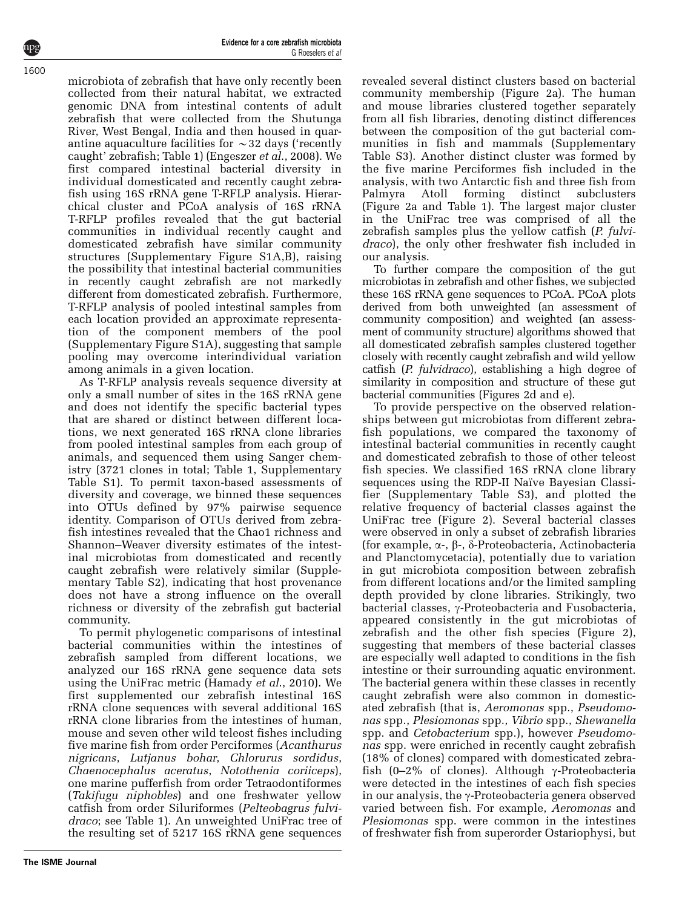microbiota of zebrafish that have only recently been collected from their natural habitat, we extracted genomic DNA from intestinal contents of adult zebrafish that were collected from the Shutunga River, West Bengal, India and then housed in quarantine aquaculture facilities for  $\sim$  32 days ('recently caught' zebrafish; [Table 1](#page-3-0)) [\(Engeszer](#page-12-0) et al., 2008). We first compared intestinal bacterial diversity in individual domesticated and recently caught zebrafish using 16S rRNA gene T-RFLP analysis. Hierarchical cluster and PCoA analysis of 16S rRNA T-RFLP profiles revealed that the gut bacterial communities in individual recently caught and domesticated zebrafish have similar community structures (Supplementary Figure S1A,B), raising the possibility that intestinal bacterial communities in recently caught zebrafish are not markedly different from domesticated zebrafish. Furthermore, T-RFLP analysis of pooled intestinal samples from each location provided an approximate representation of the component members of the pool (Supplementary Figure S1A), suggesting that sample pooling may overcome interindividual variation among animals in a given location.

As T-RFLP analysis reveals sequence diversity at only a small number of sites in the 16S rRNA gene and does not identify the specific bacterial types that are shared or distinct between different locations, we next generated 16S rRNA clone libraries from pooled intestinal samples from each group of animals, and sequenced them using Sanger chemistry (3721 clones in total; [Table 1](#page-3-0), Supplementary Table S1). To permit taxon-based assessments of diversity and coverage, we binned these sequences into OTUs defined by 97% pairwise sequence identity. Comparison of OTUs derived from zebrafish intestines revealed that the Chao1 richness and Shannon–Weaver diversity estimates of the intestinal microbiotas from domesticated and recently caught zebrafish were relatively similar (Supplementary Table S2), indicating that host provenance does not have a strong influence on the overall richness or diversity of the zebrafish gut bacterial community.

To permit phylogenetic comparisons of intestinal bacterial communities within the intestines of zebrafish sampled from different locations, we analyzed our 16S rRNA gene sequence data sets using the UniFrac metric ([Hamady](#page-12-0) et al., 2010). We first supplemented our zebrafish intestinal 16S rRNA clone sequences with several additional 16S rRNA clone libraries from the intestines of human, mouse and seven other wild teleost fishes including five marine fish from order Perciformes (Acanthurus nigricans, Lutjanus bohar, Chlorurus sordidus, Chaenocephalus aceratus, Notothenia coriiceps), one marine pufferfish from order Tetraodontiformes (Takifugu niphobles) and one freshwater yellow catfish from order Siluriformes (Pelteobagrus fulvidraco; see [Table 1](#page-3-0)). An unweighted UniFrac tree of the resulting set of 5217 16S rRNA gene sequences

revealed several distinct clusters based on bacterial community membership ([Figure 2a](#page-6-0)). The human and mouse libraries clustered together separately from all fish libraries, denoting distinct differences between the composition of the gut bacterial communities in fish and mammals (Supplementary Table S3). Another distinct cluster was formed by the five marine Perciformes fish included in the analysis, with two Antarctic fish and three fish from Palmyra Atoll forming distinct subclusters ([Figure 2a](#page-6-0) and [Table 1\)](#page-3-0). The largest major cluster in the UniFrac tree was comprised of all the zebrafish samples plus the yellow catfish (P. fulvidraco), the only other freshwater fish included in our analysis.

To further compare the composition of the gut microbiotas in zebrafish and other fishes, we subjected these 16S rRNA gene sequences to PCoA. PCoA plots derived from both unweighted (an assessment of community composition) and weighted (an assessment of community structure) algorithms showed that all domesticated zebrafish samples clustered together closely with recently caught zebrafish and wild yellow catfish (P. fulvidraco), establishing a high degree of similarity in composition and structure of these gut bacterial communities [\(Figures 2d and e\)](#page-6-0).

To provide perspective on the observed relationships between gut microbiotas from different zebrafish populations, we compared the taxonomy of intestinal bacterial communities in recently caught and domesticated zebrafish to those of other teleost fish species. We classified 16S rRNA clone library sequences using the RDP-II Naïve Bayesian Classifier (Supplementary Table S3), and plotted the relative frequency of bacterial classes against the UniFrac tree [\(Figure 2\)](#page-6-0). Several bacterial classes were observed in only a subset of zebrafish libraries (for example, a-, b-, d-Proteobacteria, Actinobacteria and Planctomycetacia), potentially due to variation in gut microbiota composition between zebrafish from different locations and/or the limited sampling depth provided by clone libraries. Strikingly, two bacterial classes,  $\gamma$ -Proteobacteria and Fusobacteria, appeared consistently in the gut microbiotas of zebrafish and the other fish species ([Figure 2](#page-6-0)), suggesting that members of these bacterial classes are especially well adapted to conditions in the fish intestine or their surrounding aquatic environment. The bacterial genera within these classes in recently caught zebrafish were also common in domesticated zebrafish (that is, Aeromonas spp., Pseudomonas spp., Plesiomonas spp., Vibrio spp., Shewanella spp. and Cetobacterium spp.), however Pseudomonas spp. were enriched in recently caught zebrafish (18% of clones) compared with domesticated zebrafish (0–2% of clones). Although  $\gamma$ -Proteobacteria were detected in the intestines of each fish species in our analysis, the  $\gamma$ -Proteobacteria genera observed varied between fish. For example, Aeromonas and Plesiomonas spp. were common in the intestines of freshwater fish from superorder Ostariophysi, but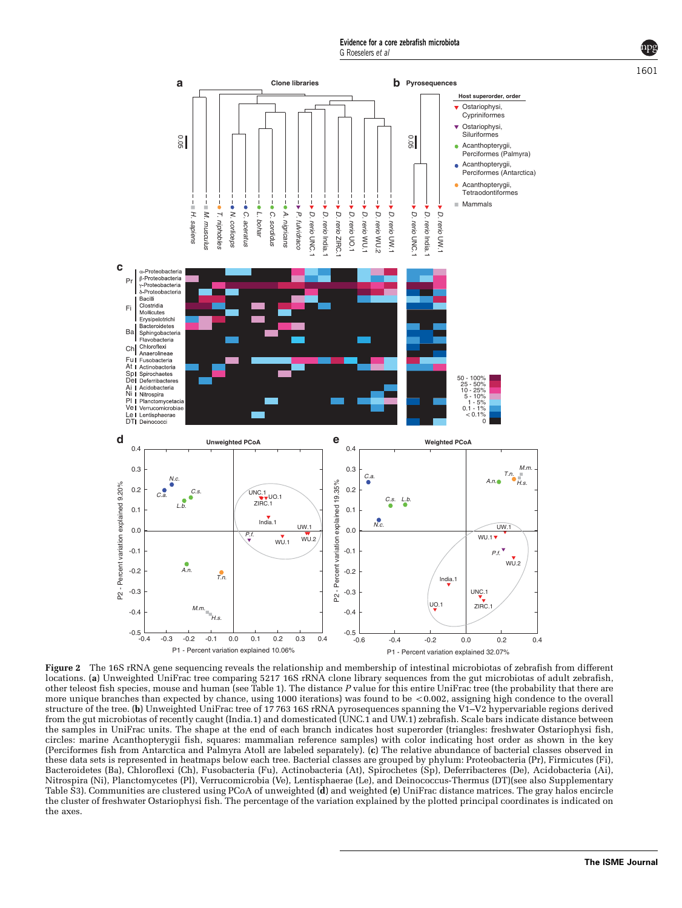<span id="page-6-0"></span>

Figure 2 The 16S rRNA gene sequencing reveals the relationship and membership of intestinal microbiotas of zebrafish from different locations. (a) Unweighted UniFrac tree comparing 5217 16S rRNA clone library sequences from the gut microbiotas of adult zebrafish, other teleost fish species, mouse and human (see [Table 1\)](#page-3-0). The distance P value for this entire UniFrac tree (the probability that there are more unique branches than expected by chance, using 1000 iterations) was found to be <0.002, assigning high condence to the overall structure of the tree. (b) Unweighted UniFrac tree of 17 763 16S rRNA pyrosequences spanning the V1–V2 hypervariable regions derived from the gut microbiotas of recently caught (India.1) and domesticated (UNC.1 and UW.1) zebrafish. Scale bars indicate distance between the samples in UniFrac units. The shape at the end of each branch indicates host superorder (triangles: freshwater Ostariophysi fish, circles: marine Acanthopterygii fish, squares: mammalian reference samples) with color indicating host order as shown in the key (Perciformes fish from Antarctica and Palmyra Atoll are labeled separately). (c) The relative abundance of bacterial classes observed in these data sets is represented in heatmaps below each tree. Bacterial classes are grouped by phylum: Proteobacteria (Pr), Firmicutes (Fi), Bacteroidetes (Ba), Chloroflexi (Ch), Fusobacteria (Fu), Actinobacteria (At), Spirochetes (Sp), Deferribacteres (De), Acidobacteria (Ai), Nitrospira (Ni), Planctomycetes (Pl), Verrucomicrobia (Ve), Lentisphaerae (Le), and Deinococcus-Thermus (DT)(see also Supplementary Table S3). Communities are clustered using PCoA of unweighted (d) and weighted (e) UniFrac distance matrices. The gray halos encircle the cluster of freshwater Ostariophysi fish. The percentage of the variation explained by the plotted principal coordinates is indicated on the axes.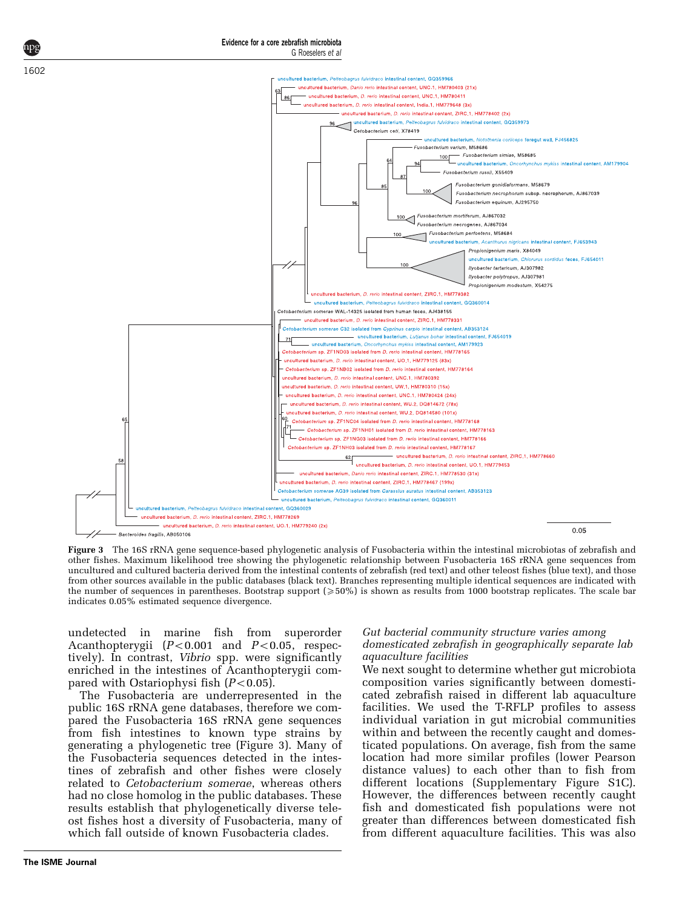



Figure 3 The 16S rRNA gene sequence-based phylogenetic analysis of Fusobacteria within the intestinal microbiotas of zebrafish and other fishes. Maximum likelihood tree showing the phylogenetic relationship between Fusobacteria 16S rRNA gene sequences from uncultured and cultured bacteria derived from the intestinal contents of zebrafish (red text) and other teleost fishes (blue text), and those from other sources available in the public databases (black text). Branches representing multiple identical sequences are indicated with the number of sequences in parentheses. Bootstrap support  $(\geq 50\%)$  is shown as results from 1000 bootstrap replicates. The scale bar indicates 0.05% estimated sequence divergence.

undetected in marine fish from superorder Acanthopterygii  $(P<0.001$  and  $P<0.05$ , respectively). In contrast, Vibrio spp. were significantly enriched in the intestines of Acanthopterygii compared with Ostariophysi fish  $(P<0.05)$ .

The Fusobacteria are underrepresented in the public 16S rRNA gene databases, therefore we compared the Fusobacteria 16S rRNA gene sequences from fish intestines to known type strains by generating a phylogenetic tree (Figure 3). Many of the Fusobacteria sequences detected in the intestines of zebrafish and other fishes were closely related to Cetobacterium somerae, whereas others had no close homolog in the public databases. These results establish that phylogenetically diverse teleost fishes host a diversity of Fusobacteria, many of which fall outside of known Fusobacteria clades.

#### Gut bacterial community structure varies among domesticated zebrafish in geographically separate lab aquaculture facilities

We next sought to determine whether gut microbiota composition varies significantly between domesticated zebrafish raised in different lab aquaculture facilities. We used the T-RFLP profiles to assess individual variation in gut microbial communities within and between the recently caught and domesticated populations. On average, fish from the same location had more similar profiles (lower Pearson distance values) to each other than to fish from different locations (Supplementary Figure S1C). However, the differences between recently caught fish and domesticated fish populations were not greater than differences between domesticated fish from different aquaculture facilities. This was also

<span id="page-7-0"></span>1602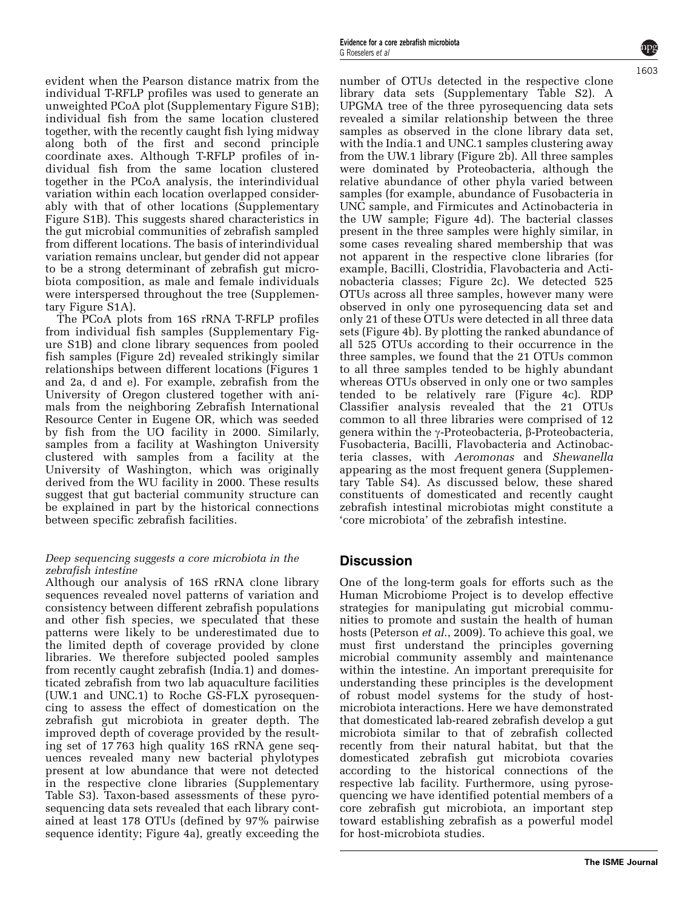evident when the Pearson distance matrix from the individual T-RFLP profiles was used to generate an unweighted PCoA plot (Supplementary Figure S1B); individual fish from the same location clustered together, with the recently caught fish lying midway along both of the first and second principle coordinate axes. Although T-RFLP profiles of individual fish from the same location clustered together in the PCoA analysis, the interindividual variation within each location overlapped considerably with that of other locations (Supplementary Figure S1B). This suggests shared characteristics in the gut microbial communities of zebrafish sampled from different locations. The basis of interindividual variation remains unclear, but gender did not appear to be a strong determinant of zebrafish gut microbiota composition, as male and female individuals were interspersed throughout the tree (Supplementary Figure S1A).

The PCoA plots from 16S rRNA T-RFLP profiles from individual fish samples (Supplementary Figure S1B) and clone library sequences from pooled fish samples ([Figure 2d\)](#page-6-0) revealed strikingly similar relationships between different locations ([Figures 1](#page-4-0) [and 2a, d and e](#page-4-0)). For example, zebrafish from the University of Oregon clustered together with animals from the neighboring Zebrafish International Resource Center in Eugene OR, which was seeded by fish from the UO facility in 2000. Similarly, samples from a facility at Washington University clustered with samples from a facility at the University of Washington, which was originally derived from the WU facility in 2000. These results suggest that gut bacterial community structure can be explained in part by the historical connections between specific zebrafish facilities.

#### Deep sequencing suggests a core microbiota in the zebrafish intestine

Although our analysis of 16S rRNA clone library sequences revealed novel patterns of variation and consistency between different zebrafish populations and other fish species, we speculated that these patterns were likely to be underestimated due to the limited depth of coverage provided by clone libraries. We therefore subjected pooled samples from recently caught zebrafish (India.1) and domesticated zebrafish from two lab aquaculture facilities (UW.1 and UNC.1) to Roche GS-FLX pyrosequencing to assess the effect of domestication on the zebrafish gut microbiota in greater depth. The improved depth of coverage provided by the resulting set of 17 763 high quality 16S rRNA gene sequences revealed many new bacterial phylotypes present at low abundance that were not detected in the respective clone libraries (Supplementary Table S3). Taxon-based assessments of these pyrosequencing data sets revealed that each library contained at least 178 OTUs (defined by 97% pairwise sequence identity; [Figure 4a\)](#page-9-0), greatly exceeding the 1603

number of OTUs detected in the respective clone library data sets (Supplementary Table S2). A UPGMA tree of the three pyrosequencing data sets revealed a similar relationship between the three samples as observed in the clone library data set, with the India.1 and UNC.1 samples clustering away from the UW.1 library ([Figure 2b](#page-6-0)). All three samples were dominated by Proteobacteria, although the relative abundance of other phyla varied between samples (for example, abundance of Fusobacteria in UNC sample, and Firmicutes and Actinobacteria in the UW sample; [Figure 4d\)](#page-9-0). The bacterial classes present in the three samples were highly similar, in some cases revealing shared membership that was not apparent in the respective clone libraries (for example, Bacilli, Clostridia, Flavobacteria and Actinobacteria classes; [Figure 2c](#page-6-0)). We detected 525 OTUs across all three samples, however many were observed in only one pyrosequencing data set and only 21 of these OTUs were detected in all three data sets ([Figure 4b](#page-9-0)). By plotting the ranked abundance of all 525 OTUs according to their occurrence in the three samples, we found that the 21 OTUs common to all three samples tended to be highly abundant whereas OTUs observed in only one or two samples tended to be relatively rare [\(Figure 4c](#page-9-0)). RDP Classifier analysis revealed that the 21 OTUs common to all three libraries were comprised of 12 genera within the  $\gamma$ -Proteobacteria,  $\beta$ -Proteobacteria, Fusobacteria, Bacilli, Flavobacteria and Actinobacteria classes, with Aeromonas and Shewanella appearing as the most frequent genera (Supplementary Table S4). As discussed below, these shared constituents of domesticated and recently caught zebrafish intestinal microbiotas might constitute a 'core microbiota' of the zebrafish intestine.

# **Discussion**

One of the long-term goals for efforts such as the Human Microbiome Project is to develop effective strategies for manipulating gut microbial communities to promote and sustain the health of human hosts ([Peterson](#page-13-0) et al., 2009). To achieve this goal, we must first understand the principles governing microbial community assembly and maintenance within the intestine. An important prerequisite for understanding these principles is the development of robust model systems for the study of hostmicrobiota interactions. Here we have demonstrated that domesticated lab-reared zebrafish develop a gut microbiota similar to that of zebrafish collected recently from their natural habitat, but that the domesticated zebrafish gut microbiota covaries according to the historical connections of the respective lab facility. Furthermore, using pyrosequencing we have identified potential members of a core zebrafish gut microbiota, an important step toward establishing zebrafish as a powerful model for host-microbiota studies.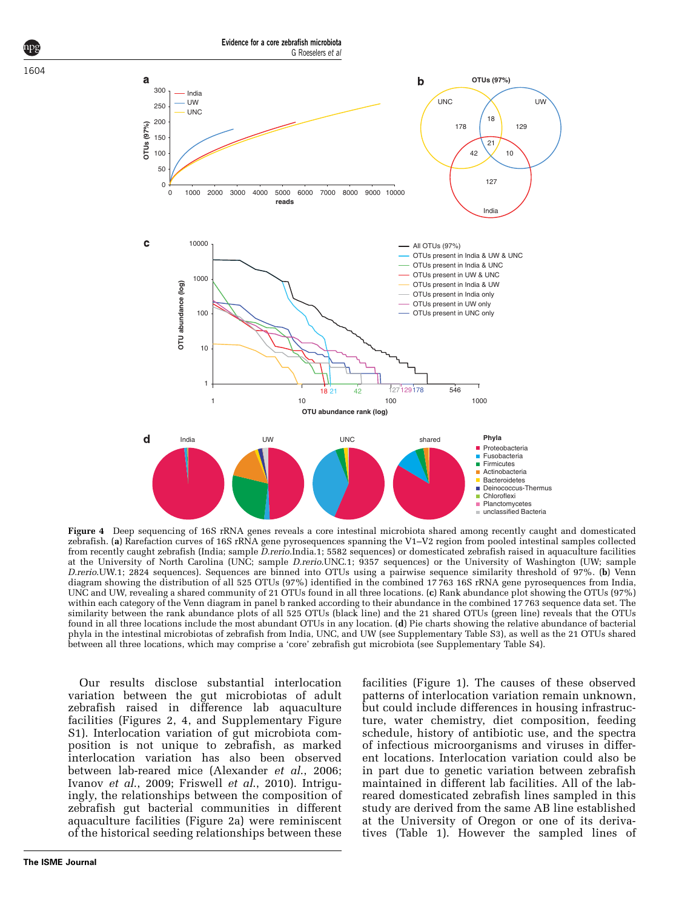<span id="page-9-0"></span>1604



Evidence for a core zebrafish microbiota

Figure 4 Deep sequencing of 16S rRNA genes reveals a core intestinal microbiota shared among recently caught and domesticated zebrafish. (a) Rarefaction curves of 16S rRNA gene pyrosequences spanning the V1–V2 region from pooled intestinal samples collected from recently caught zebrafish (India; sample D.rerio.India.1; 5582 sequences) or domesticated zebrafish raised in aquaculture facilities at the University of North Carolina (UNC; sample D.rerio.UNC.1; 9357 sequences) or the University of Washington (UW; sample D.rerio.UW.1; 2824 sequences). Sequences are binned into OTUs using a pairwise sequence similarity threshold of 97%. (b) Venn diagram showing the distribution of all 525 OTUs (97%) identified in the combined 17 763 16S rRNA gene pyrosequences from India, UNC and UW, revealing a shared community of 21 OTUs found in all three locations. (c) Rank abundance plot showing the OTUs (97%) within each category of the Venn diagram in panel b ranked according to their abundance in the combined 17 763 sequence data set. The similarity between the rank abundance plots of all 525 OTUs (black line) and the 21 shared OTUs (green line) reveals that the OTUs found in all three locations include the most abundant OTUs in any location. (d) Pie charts showing the relative abundance of bacterial phyla in the intestinal microbiotas of zebrafish from India, UNC, and UW (see Supplementary Table S3), as well as the 21 OTUs shared between all three locations, which may comprise a 'core' zebrafish gut microbiota (see Supplementary Table S4).

Our results disclose substantial interlocation variation between the gut microbiotas of adult zebrafish raised in difference lab aquaculture facilities ([Figures 2, 4](#page-6-0), and Supplementary Figure S1). Interlocation variation of gut microbiota composition is not unique to zebrafish, as marked interlocation variation has also been observed between lab-reared mice [\(Alexander](#page-12-0) et al., 2006; Ivanov et al[., 2009](#page-12-0); [Friswell](#page-12-0) et al., 2010). Intriguingly, the relationships between the composition of zebrafish gut bacterial communities in different aquaculture facilities [\(Figure 2a\)](#page-6-0) were reminiscent of the historical seeding relationships between these facilities [\(Figure 1\)](#page-4-0). The causes of these observed patterns of interlocation variation remain unknown, but could include differences in housing infrastructure, water chemistry, diet composition, feeding schedule, history of antibiotic use, and the spectra of infectious microorganisms and viruses in different locations. Interlocation variation could also be in part due to genetic variation between zebrafish maintained in different lab facilities. All of the labreared domesticated zebrafish lines sampled in this study are derived from the same AB line established at the University of Oregon or one of its derivatives ([Table 1\)](#page-3-0). However the sampled lines of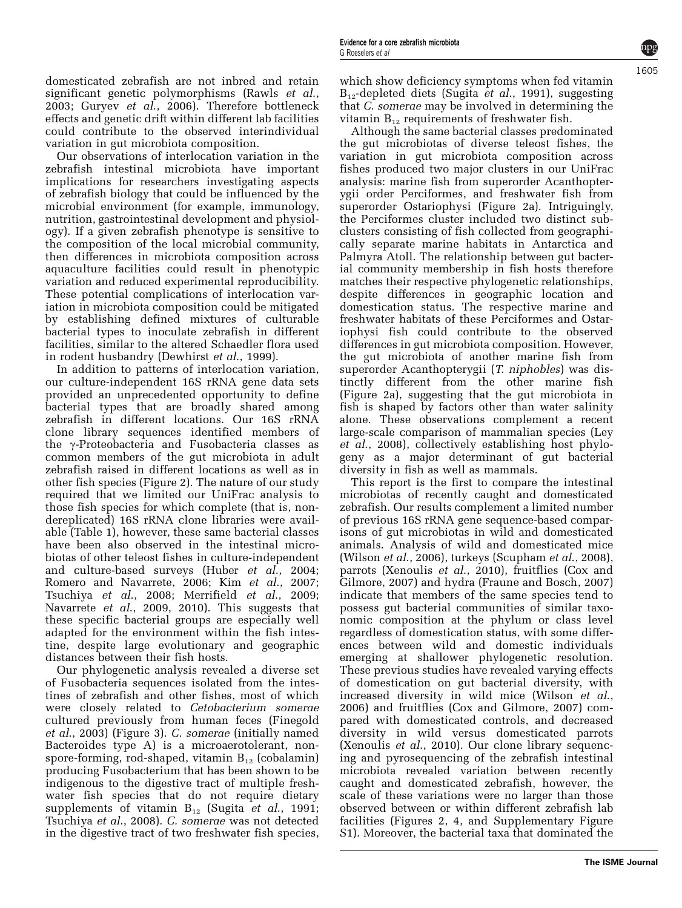domesticated zebrafish are not inbred and retain significant genetic polymorphisms ([Rawls](#page-13-0) et al., [2003;](#page-13-0) Guryev et  $a\bar{I}$ , 2006). Therefore bottleneck effects and genetic drift within different lab facilities could contribute to the observed interindividual variation in gut microbiota composition.

Our observations of interlocation variation in the zebrafish intestinal microbiota have important implications for researchers investigating aspects of zebrafish biology that could be influenced by the microbial environment (for example, immunology, nutrition, gastrointestinal development and physiology). If a given zebrafish phenotype is sensitive to the composition of the local microbial community, then differences in microbiota composition across aquaculture facilities could result in phenotypic variation and reduced experimental reproducibility. These potential complications of interlocation variation in microbiota composition could be mitigated by establishing defined mixtures of culturable bacterial types to inoculate zebrafish in different facilities, similar to the altered Schaedler flora used in rodent husbandry [\(Dewhirst](#page-12-0) et al., 1999).

In addition to patterns of interlocation variation, our culture-independent 16S rRNA gene data sets provided an unprecedented opportunity to define bacterial types that are broadly shared among zebrafish in different locations. Our 16S rRNA clone library sequences identified members of the  $\gamma$ -Proteobacteria and Fusobacteria classes as common members of the gut microbiota in adult zebrafish raised in different locations as well as in other fish species [\(Figure 2\)](#page-6-0). The nature of our study required that we limited our UniFrac analysis to those fish species for which complete (that is, nondereplicated) 16S rRNA clone libraries were available ([Table 1\)](#page-3-0), however, these same bacterial classes have been also observed in the intestinal microbiotas of other teleost fishes in culture-independent and culture-based surveys (Huber et al[., 2004;](#page-12-0) [Romero and Navarrete, 2006;](#page-13-0) Kim et al[., 2007;](#page-12-0) [Tsuchiya](#page-13-0) et al., 2008; [Merrifield](#page-13-0) et al., 2009; Navarrete *et al.*, 2009, 2010). This suggests that these specific bacterial groups are especially well adapted for the environment within the fish intestine, despite large evolutionary and geographic distances between their fish hosts.

Our phylogenetic analysis revealed a diverse set of Fusobacteria sequences isolated from the intestines of zebrafish and other fishes, most of which were closely related to Cetobacterium somerae cultured previously from human feces [\(Finegold](#page-12-0) et al[., 2003](#page-12-0)) [\(Figure 3\)](#page-7-0). C. somerae (initially named Bacteroides type A) is a microaerotolerant, nonspore-forming, rod-shaped, vitamin  $B_{12}$  (cobalamin) producing Fusobacterium that has been shown to be indigenous to the digestive tract of multiple freshwater fish species that do not require dietary supplements of vitamin  $B_{12}$  (Sugita *et al.*, 1991; [Tsuchiya](#page-13-0) et al., 2008). C. somerae was not detected in the digestive tract of two freshwater fish species, which show deficiency symptoms when fed vitamin  $B_{12}$ -depleted diets (Sugita *et al.*, 1991), suggesting that C. somerae may be involved in determining the vitamin  $B_{12}$  requirements of freshwater fish.

Although the same bacterial classes predominated the gut microbiotas of diverse teleost fishes, the variation in gut microbiota composition across fishes produced two major clusters in our UniFrac analysis: marine fish from superorder Acanthopterygii order Perciformes, and freshwater fish from superorder Ostariophysi [\(Figure 2a](#page-6-0)). Intriguingly, the Perciformes cluster included two distinct subclusters consisting of fish collected from geographically separate marine habitats in Antarctica and Palmyra Atoll. The relationship between gut bacterial community membership in fish hosts therefore matches their respective phylogenetic relationships, despite differences in geographic location and domestication status. The respective marine and freshwater habitats of these Perciformes and Ostariophysi fish could contribute to the observed differences in gut microbiota composition. However, the gut microbiota of another marine fish from superorder Acanthopterygii (T. niphobles) was distinctly different from the other marine fish [\(Figure 2a](#page-6-0)), suggesting that the gut microbiota in fish is shaped by factors other than water salinity alone. These observations complement a recent large-scale comparison of mammalian species [\(Ley](#page-12-0) et al[., 2008\)](#page-12-0), collectively establishing host phylogeny as a major determinant of gut bacterial diversity in fish as well as mammals.

This report is the first to compare the intestinal microbiotas of recently caught and domesticated zebrafish. Our results complement a limited number of previous 16S rRNA gene sequence-based comparisons of gut microbiotas in wild and domesticated animals. Analysis of wild and domesticated mice [\(Wilson](#page-13-0) et al., 2006), turkeys ([Scupham](#page-13-0) et al., 2008), parrots [\(Xenoulis](#page-13-0) et al., 2010), fruitflies ([Cox and](#page-12-0) [Gilmore, 2007\)](#page-12-0) and hydra [\(Fraune and Bosch, 2007\)](#page-12-0) indicate that members of the same species tend to possess gut bacterial communities of similar taxonomic composition at the phylum or class level regardless of domestication status, with some differences between wild and domestic individuals emerging at shallower phylogenetic resolution. These previous studies have revealed varying effects of domestication on gut bacterial diversity, with increased diversity in wild mice [\(Wilson](#page-13-0) et al., [2006\)](#page-13-0) and fruitflies [\(Cox and Gilmore, 2007](#page-12-0)) compared with domesticated controls, and decreased diversity in wild versus domesticated parrots [\(Xenoulis](#page-13-0) et al., 2010). Our clone library sequencing and pyrosequencing of the zebrafish intestinal microbiota revealed variation between recently caught and domesticated zebrafish, however, the scale of these variations were no larger than those observed between or within different zebrafish lab facilities [\(Figures 2, 4](#page-6-0), and Supplementary Figure S1). Moreover, the bacterial taxa that dominated the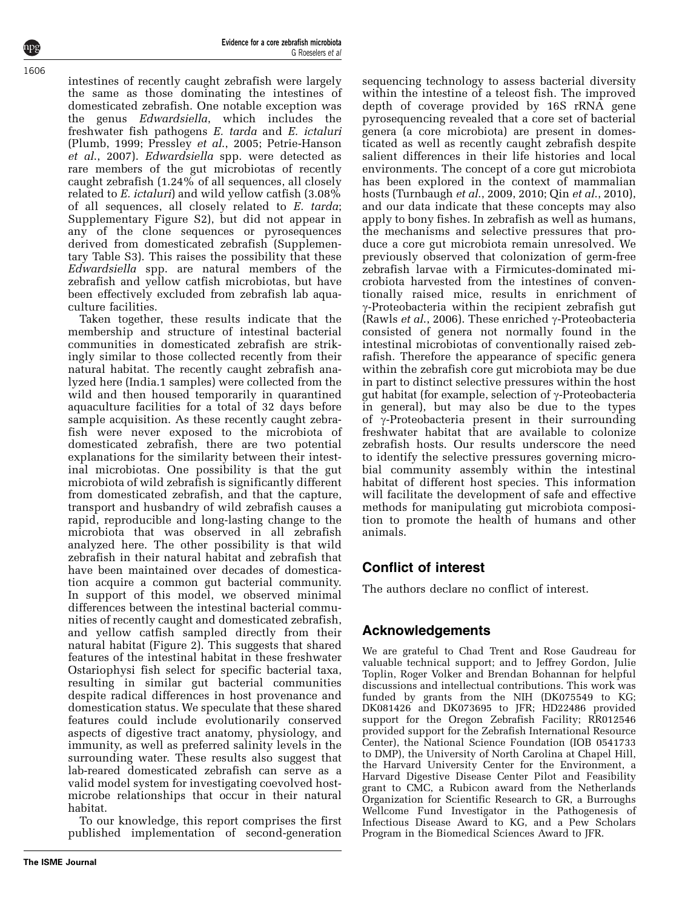intestines of recently caught zebrafish were largely the same as those dominating the intestines of domesticated zebrafish. One notable exception was the genus Edwardsiella, which includes the freshwater fish pathogens E. tarda and E. ictaluri ([Plumb, 1999](#page-13-0); [Pressley](#page-13-0) et al., 2005; [Petrie-Hanson](#page-13-0) et al[., 2007](#page-13-0)). Edwardsiella spp. were detected as rare members of the gut microbiotas of recently caught zebrafish (1.24% of all sequences, all closely related to E. ictaluri) and wild yellow catfish (3.08% of all sequences, all closely related to E. tarda; Supplementary Figure S2), but did not appear in any of the clone sequences or pyrosequences derived from domesticated zebrafish (Supplementary Table S3). This raises the possibility that these Edwardsiella spp. are natural members of the zebrafish and yellow catfish microbiotas, but have been effectively excluded from zebrafish lab aquaculture facilities.

Taken together, these results indicate that the membership and structure of intestinal bacterial communities in domesticated zebrafish are strikingly similar to those collected recently from their natural habitat. The recently caught zebrafish analyzed here (India.1 samples) were collected from the wild and then housed temporarily in quarantined aquaculture facilities for a total of 32 days before sample acquisition. As these recently caught zebrafish were never exposed to the microbiota of domesticated zebrafish, there are two potential explanations for the similarity between their intestinal microbiotas. One possibility is that the gut microbiota of wild zebrafish is significantly different from domesticated zebrafish, and that the capture, transport and husbandry of wild zebrafish causes a rapid, reproducible and long-lasting change to the microbiota that was observed in all zebrafish analyzed here. The other possibility is that wild zebrafish in their natural habitat and zebrafish that have been maintained over decades of domestication acquire a common gut bacterial community. In support of this model, we observed minimal differences between the intestinal bacterial communities of recently caught and domesticated zebrafish, and yellow catfish sampled directly from their natural habitat ([Figure 2](#page-6-0)). This suggests that shared features of the intestinal habitat in these freshwater Ostariophysi fish select for specific bacterial taxa, resulting in similar gut bacterial communities despite radical differences in host provenance and domestication status. We speculate that these shared features could include evolutionarily conserved aspects of digestive tract anatomy, physiology, and immunity, as well as preferred salinity levels in the surrounding water. These results also suggest that lab-reared domesticated zebrafish can serve as a valid model system for investigating coevolved hostmicrobe relationships that occur in their natural habitat.

To our knowledge, this report comprises the first published implementation of second-generation sequencing technology to assess bacterial diversity within the intestine of a teleost fish. The improved depth of coverage provided by 16S rRNA gene pyrosequencing revealed that a core set of bacterial genera (a core microbiota) are present in domesticated as well as recently caught zebrafish despite salient differences in their life histories and local environments. The concept of a core gut microbiota has been explored in the context of mammalian hosts (Turnbaugh et al[., 2009, 2010](#page-13-0); Qin et al[., 2010](#page-13-0)), and our data indicate that these concepts may also apply to bony fishes. In zebrafish as well as humans, the mechanisms and selective pressures that produce a core gut microbiota remain unresolved. We previously observed that colonization of germ-free zebrafish larvae with a Firmicutes-dominated microbiota harvested from the intestines of conventionally raised mice, results in enrichment of  $\gamma$ -Proteobacteria within the recipient zebrafish gut (Rawls *et al.*, 2006). These enriched  $\gamma$ -Proteobacteria consisted of genera not normally found in the intestinal microbiotas of conventionally raised zebrafish. Therefore the appearance of specific genera within the zebrafish core gut microbiota may be due in part to distinct selective pressures within the host gut habitat (for example, selection of  $\gamma$ -Proteobacteria in general), but may also be due to the types of  $\gamma$ -Proteobacteria present in their surrounding freshwater habitat that are available to colonize zebrafish hosts. Our results underscore the need to identify the selective pressures governing microbial community assembly within the intestinal habitat of different host species. This information will facilitate the development of safe and effective methods for manipulating gut microbiota composition to promote the health of humans and other animals.

# Conflict of interest

The authors declare no conflict of interest.

# Acknowledgements

We are grateful to Chad Trent and Rose Gaudreau for valuable technical support; and to Jeffrey Gordon, Julie Toplin, Roger Volker and Brendan Bohannan for helpful discussions and intellectual contributions. This work was funded by grants from the NIH (DK075549 to KG; DK081426 and DK073695 to JFR; HD22486 provided support for the Oregon Zebrafish Facility; RR012546 provided support for the Zebrafish International Resource Center), the National Science Foundation (IOB 0541733 to DMP), the University of North Carolina at Chapel Hill, the Harvard University Center for the Environment, a Harvard Digestive Disease Center Pilot and Feasibility grant to CMC, a Rubicon award from the Netherlands Organization for Scientific Research to GR, a Burroughs Wellcome Fund Investigator in the Pathogenesis of Infectious Disease Award to KG, and a Pew Scholars Program in the Biomedical Sciences Award to JFR.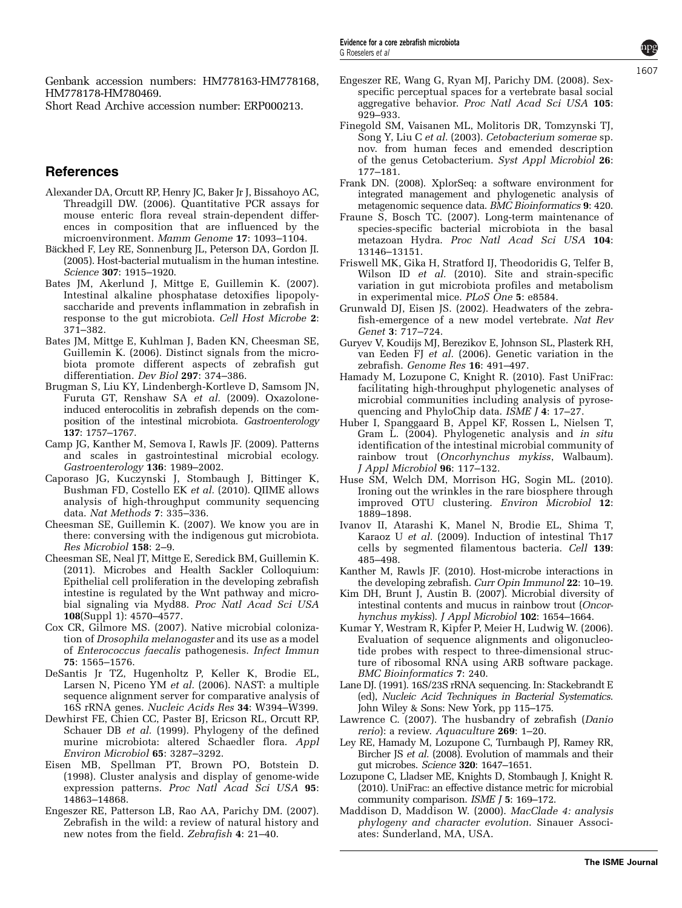<span id="page-12-0"></span>Genbank accession numbers: HM778163-HM778168, HM778178-HM780469.

Short Read Archive accession number: ERP000213.

# References

- Alexander DA, Orcutt RP, Henry JC, Baker Jr J, Bissahoyo AC, Threadgill DW. (2006). Quantitative PCR assays for mouse enteric flora reveal strain-dependent differences in composition that are influenced by the microenvironment. Mamm Genome 17: 1093–1104.
- Bäckhed F, Ley RE, Sonnenburg JL, Peterson DA, Gordon JI. (2005). Host-bacterial mutualism in the human intestine. Science 307: 1915–1920.
- Bates JM, Akerlund J, Mittge E, Guillemin K. (2007). Intestinal alkaline phosphatase detoxifies lipopolysaccharide and prevents inflammation in zebrafish in response to the gut microbiota. Cell Host Microbe 2: 371–382.
- Bates JM, Mittge E, Kuhlman J, Baden KN, Cheesman SE, Guillemin K. (2006). Distinct signals from the microbiota promote different aspects of zebrafish gut differentiation. Dev Biol 297: 374–386.
- Brugman S, Liu KY, Lindenbergh-Kortleve D, Samsom JN, Furuta GT, Renshaw SA et al. (2009). Oxazoloneinduced enterocolitis in zebrafish depends on the composition of the intestinal microbiota. Gastroenterology 137: 1757–1767.
- Camp JG, Kanther M, Semova I, Rawls JF. (2009). Patterns and scales in gastrointestinal microbial ecology. Gastroenterology 136: 1989–2002.
- Caporaso JG, Kuczynski J, Stombaugh J, Bittinger K, Bushman FD, Costello EK et al. (2010). QIIME allows analysis of high-throughput community sequencing data. Nat Methods 7: 335–336.
- Cheesman SE, Guillemin K. (2007). We know you are in there: conversing with the indigenous gut microbiota. Res Microbiol 158: 2–9.
- Cheesman SE, Neal JT, Mittge E, Seredick BM, Guillemin K. (2011). Microbes and Health Sackler Colloquium: Epithelial cell proliferation in the developing zebrafish intestine is regulated by the Wnt pathway and microbial signaling via Myd88. Proc Natl Acad Sci USA 108(Suppl 1): 4570–4577.
- Cox CR, Gilmore MS. (2007). Native microbial colonization of Drosophila melanogaster and its use as a model of Enterococcus faecalis pathogenesis. Infect Immun 75: 1565–1576.
- DeSantis Jr TZ, Hugenholtz P, Keller K, Brodie EL, Larsen N, Piceno YM et al. (2006). NAST: a multiple sequence alignment server for comparative analysis of 16S rRNA genes. Nucleic Acids Res 34: W394–W399.
- Dewhirst FE, Chien CC, Paster BJ, Ericson RL, Orcutt RP, Schauer DB et al. (1999). Phylogeny of the defined murine microbiota: altered Schaedler flora. Appl Environ Microbiol 65: 3287–3292.
- Eisen MB, Spellman PT, Brown PO, Botstein D. (1998). Cluster analysis and display of genome-wide expression patterns. Proc Natl Acad Sci USA 95: 14863–14868.
- Engeszer RE, Patterson LB, Rao AA, Parichy DM. (2007). Zebrafish in the wild: a review of natural history and new notes from the field. Zebrafish 4: 21–40.
- Engeszer RE, Wang G, Ryan MJ, Parichy DM. (2008). Sexspecific perceptual spaces for a vertebrate basal social aggregative behavior. Proc Natl Acad Sci USA 105: 929–933.
- Finegold SM, Vaisanen ML, Molitoris DR, Tomzynski TJ, Song Y, Liu C et al. (2003). Cetobacterium somerae sp. nov. from human feces and emended description of the genus Cetobacterium. Syst Appl Microbiol 26: 177–181.
- Frank DN. (2008). XplorSeq: a software environment for integrated management and phylogenetic analysis of metagenomic sequence data. BMC Bioinformatics 9: 420.
- Fraune S, Bosch TC. (2007). Long-term maintenance of species-specific bacterial microbiota in the basal metazoan Hydra. Proc Natl Acad Sci USA 104: 13146–13151.
- Friswell MK, Gika H, Stratford IJ, Theodoridis G, Telfer B, Wilson ID et al. (2010). Site and strain-specific variation in gut microbiota profiles and metabolism in experimental mice. PLoS One 5: e8584.
- Grunwald DJ, Eisen JS. (2002). Headwaters of the zebrafish-emergence of a new model vertebrate. Nat Rev Genet 3: 717–724.
- Guryev V, Koudijs MJ, Berezikov E, Johnson SL, Plasterk RH, van Eeden FJ et al. (2006). Genetic variation in the zebrafish. Genome Res 16: 491–497.
- Hamady M, Lozupone C, Knight R. (2010). Fast UniFrac: facilitating high-throughput phylogenetic analyses of microbial communities including analysis of pyrosequencing and PhyloChip data. ISME  $\overline{I4}$ : 17–27.
- Huber I, Spanggaard B, Appel KF, Rossen L, Nielsen T, Gram L. (2004). Phylogenetic analysis and in situ identification of the intestinal microbial community of rainbow trout (Oncorhynchus mykiss, Walbaum). J Appl Microbiol 96: 117–132.
- Huse SM, Welch DM, Morrison HG, Sogin ML. (2010). Ironing out the wrinkles in the rare biosphere through improved OTU clustering. Environ Microbiol 12: 1889–1898.
- Ivanov II, Atarashi K, Manel N, Brodie EL, Shima T, Karaoz U et al. (2009). Induction of intestinal Th17 cells by segmented filamentous bacteria. Cell 139: 485–498.
- Kanther M, Rawls JF. (2010). Host-microbe interactions in the developing zebrafish. Curr Opin Immunol 22: 10–19.
- Kim DH, Brunt J, Austin B. (2007). Microbial diversity of intestinal contents and mucus in rainbow trout (Oncorhynchus mykiss). J Appl Microbiol 102: 1654–1664.
- Kumar Y, Westram R, Kipfer P, Meier H, Ludwig W. (2006). Evaluation of sequence alignments and oligonucleotide probes with respect to three-dimensional structure of ribosomal RNA using ARB software package. BMC Bioinformatics 7: 240.
- Lane DJ. (1991). 16S/23S rRNA sequencing. In: Stackebrandt E (ed), Nucleic Acid Techniques in Bacterial Systematics. John Wiley & Sons: New York, pp 115–175.
- Lawrence C. (2007). The husbandry of zebrafish (Danio rerio): a review. Aquaculture 269: 1–20.
- Ley RE, Hamady M, Lozupone C, Turnbaugh PJ, Ramey RR, Bircher JS et al. (2008). Evolution of mammals and their gut microbes. Science 320: 1647–1651.
- Lozupone C, Lladser ME, Knights D, Stombaugh J, Knight R. (2010). UniFrac: an effective distance metric for microbial community comparison. ISME J 5: 169-172.
- Maddison D, Maddison W. (2000). MacClade 4: analysis phylogeny and character evolution. Sinauer Associates: Sunderland, MA, USA.